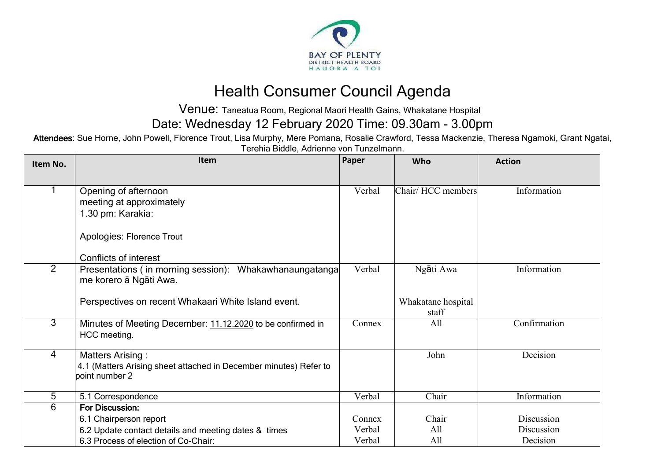

## Health Consumer Council Agenda

Venue: Taneatua Room, Regional Maori Health Gains, Whakatane Hospital

Date: Wednesday 12 February 2020 Time: 09.30am - 3.00pm

Attendees: Sue Horne, John Powell, Florence Trout, Lisa Murphy, Mere Pomana, Rosalie Crawford, Tessa Mackenzie, Theresa Ngamoki, Grant Ngatai, Terehia Biddle, Adrienne von Tunzelmann.

| Item No.       | Item                                                                                         | Paper  | Who                | <b>Action</b> |
|----------------|----------------------------------------------------------------------------------------------|--------|--------------------|---------------|
|                |                                                                                              |        |                    |               |
|                | Opening of afternoon                                                                         | Verbal | Chair/HCC members  | Information   |
|                | meeting at approximately                                                                     |        |                    |               |
|                | 1.30 pm: Karakia:                                                                            |        |                    |               |
|                |                                                                                              |        |                    |               |
|                | Apologies: Florence Trout                                                                    |        |                    |               |
|                | Conflicts of interest                                                                        |        |                    |               |
| $\overline{2}$ | Presentations (in morning session): Whakawhanaungatanga                                      | Verbal | Ngāti Awa          | Information   |
|                | me korero ā Ngāti Awa.                                                                       |        |                    |               |
|                |                                                                                              |        |                    |               |
|                | Perspectives on recent Whakaari White Island event.                                          |        | Whakatane hospital |               |
|                |                                                                                              |        | staff              |               |
| $\overline{3}$ | Minutes of Meeting December: 11.12.2020 to be confirmed in                                   | Connex | All                | Confirmation  |
|                | HCC meeting.                                                                                 |        |                    |               |
| $\overline{4}$ |                                                                                              |        | John               | Decision      |
|                | <b>Matters Arising:</b><br>4.1 (Matters Arising sheet attached in December minutes) Refer to |        |                    |               |
|                | point number 2                                                                               |        |                    |               |
|                |                                                                                              |        |                    |               |
| 5              | 5.1 Correspondence                                                                           | Verbal | Chair              | Information   |
| 6              | <b>For Discussion:</b>                                                                       |        |                    |               |
|                | 6.1 Chairperson report                                                                       | Connex | Chair              | Discussion    |
|                | 6.2 Update contact details and meeting dates & times                                         | Verbal | All                | Discussion    |
|                | 6.3 Process of election of Co-Chair:                                                         | Verbal | All                | Decision      |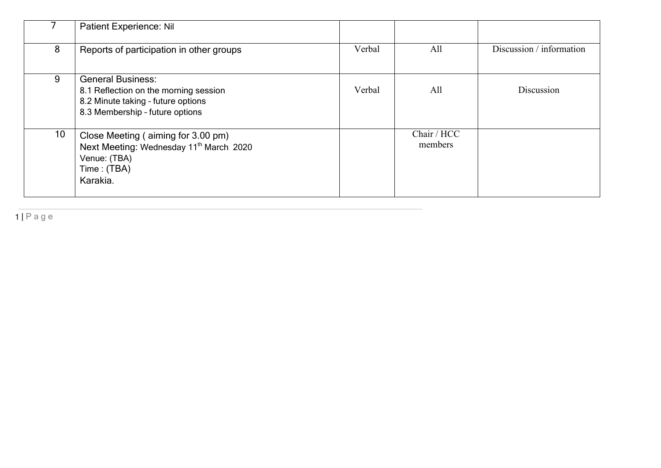|                 | <b>Patient Experience: Nil</b>                                                                                                             |        |                        |                          |
|-----------------|--------------------------------------------------------------------------------------------------------------------------------------------|--------|------------------------|--------------------------|
| 8               | Reports of participation in other groups                                                                                                   | Verbal | All                    | Discussion / information |
| 9               | <b>General Business:</b><br>8.1 Reflection on the morning session<br>8.2 Minute taking - future options<br>8.3 Membership - future options | Verbal | All                    | Discussion               |
| 10 <sup>°</sup> | Close Meeting (aiming for 3.00 pm)<br>Next Meeting: Wednesday 11 <sup>th</sup> March 2020<br>Venue: (TBA)<br>Time: (TBA)<br>Karakia.       |        | Chair / HCC<br>members |                          |

1 | P a g e